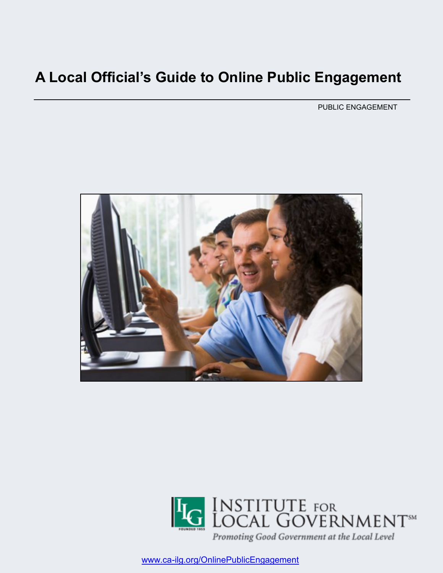# **A Local Official's Guide to Online Public Engagement**

PUBLIC ENGAGEMENT





www.ca-[ilg.org/OnlinePublicEngagement](http://www.ca-ilg.org/OnlinePublicEngagement)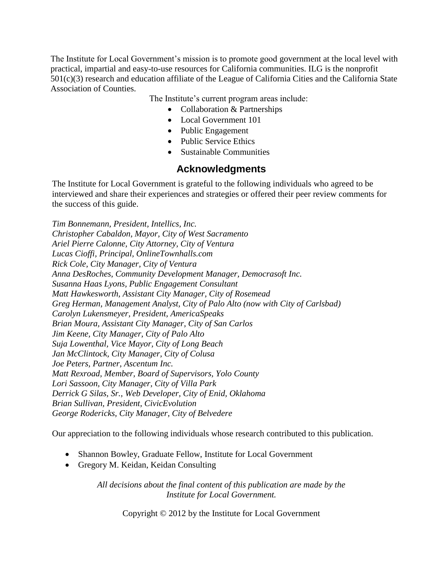The Institute for Local Government's mission is to promote good government at the local level with practical, impartial and easy-to-use resources for California communities. ILG is the nonprofit 501(c)(3) research and education affiliate of the League of California Cities and the California State Association of Counties.

The Institute's current program areas include:

- Collaboration & Partnerships
- Local Government 101
- Public Engagement
- Public Service Ethics
- Sustainable Communities

#### **Acknowledgments**

The Institute for Local Government is grateful to the following individuals who agreed to be interviewed and share their experiences and strategies or offered their peer review comments for the success of this guide.

*Tim Bonnemann, President, Intellics, Inc. Christopher Cabaldon, Mayor, City of West Sacramento Ariel Pierre Calonne, City Attorney, City of Ventura Lucas Cioffi, Principal, OnlineTownhalls.com Rick Cole, City Manager, City of Ventura Anna DesRoches, Community Development Manager, Democrasoft Inc. Susanna Haas Lyons, Public Engagement Consultant Matt Hawkesworth, Assistant City Manager, City of Rosemead Greg Herman, Management Analyst, City of Palo Alto (now with City of Carlsbad) Carolyn Lukensmeyer, President, AmericaSpeaks Brian Moura, Assistant City Manager, City of San Carlos Jim Keene, City Manager, City of Palo Alto Suja Lowenthal, Vice Mayor, City of Long Beach Jan McClintock, City Manager, City of Colusa Joe Peters, Partner, Ascentum Inc. Matt Rexroad, Member, Board of Supervisors, Yolo County Lori Sassoon, City Manager, City of Villa Park Derrick G Silas, Sr., Web Developer, City of Enid, Oklahoma Brian Sullivan, President, CivicEvolution George Rodericks, City Manager, City of Belvedere*

Our appreciation to the following individuals whose research contributed to this publication.

- Shannon Bowley, Graduate Fellow, Institute for Local Government
- Gregory M. Keidan, Keidan Consulting

*All decisions about the final content of this publication are made by the Institute for Local Government.*

Copyright © 2012 by the Institute for Local Government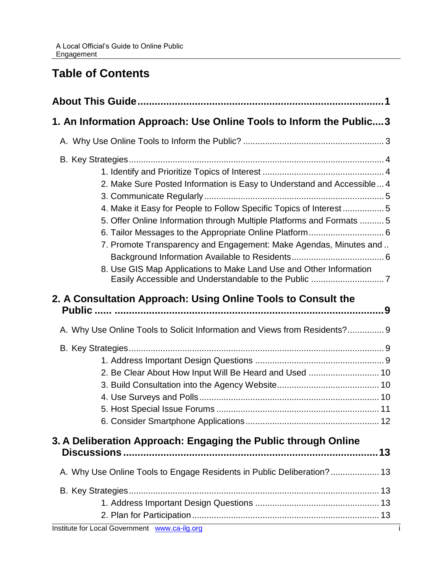# **Table of Contents**

| 1. An Information Approach: Use Online Tools to Inform the Public 3                                                                                                                                                                                                                                                                                              |  |  |  |
|------------------------------------------------------------------------------------------------------------------------------------------------------------------------------------------------------------------------------------------------------------------------------------------------------------------------------------------------------------------|--|--|--|
|                                                                                                                                                                                                                                                                                                                                                                  |  |  |  |
| 2. Make Sure Posted Information is Easy to Understand and Accessible 4<br>4. Make it Easy for People to Follow Specific Topics of Interest 5<br>5. Offer Online Information through Multiple Platforms and Formats  5<br>7. Promote Transparency and Engagement: Make Agendas, Minutes and<br>8. Use GIS Map Applications to Make Land Use and Other Information |  |  |  |
| 2. A Consultation Approach: Using Online Tools to Consult the<br>A. Why Use Online Tools to Solicit Information and Views from Residents? 9                                                                                                                                                                                                                      |  |  |  |
|                                                                                                                                                                                                                                                                                                                                                                  |  |  |  |
| 2. Be Clear About How Input Will Be Heard and Used  10                                                                                                                                                                                                                                                                                                           |  |  |  |
| 3. A Deliberation Approach: Engaging the Public through Online                                                                                                                                                                                                                                                                                                   |  |  |  |
| A. Why Use Online Tools to Engage Residents in Public Deliberation? 13                                                                                                                                                                                                                                                                                           |  |  |  |
| Institute for Local Government www.ca-ilg.org                                                                                                                                                                                                                                                                                                                    |  |  |  |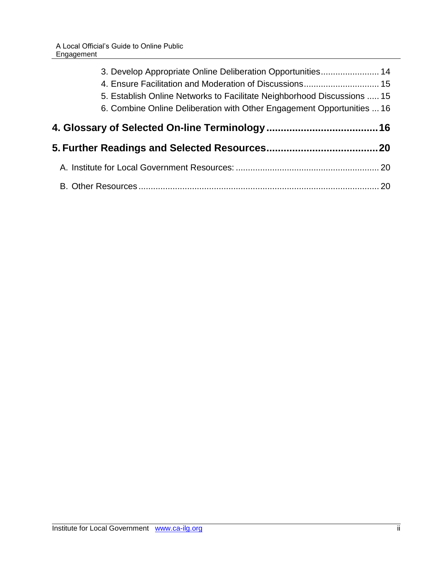|  | 3. Develop Appropriate Online Deliberation Opportunities 14             |  |
|--|-------------------------------------------------------------------------|--|
|  |                                                                         |  |
|  | 5. Establish Online Networks to Facilitate Neighborhood Discussions  15 |  |
|  | 6. Combine Online Deliberation with Other Engagement Opportunities  16  |  |
|  |                                                                         |  |
|  |                                                                         |  |
|  |                                                                         |  |
|  |                                                                         |  |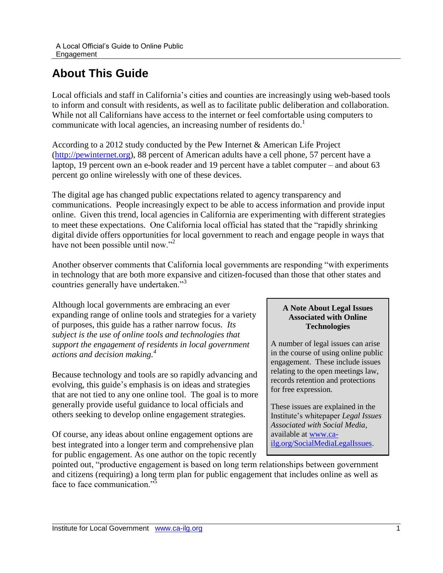# <span id="page-4-0"></span>**About This Guide**

Local officials and staff in California's cities and counties are increasingly using web-based tools to inform and consult with residents, as well as to facilitate public deliberation and collaboration. While not all Californians have access to the internet or feel comfortable using computers to communicate with local agencies, an increasing number of residents do.<sup>1</sup>

According to a 2012 study conducted by the Pew Internet & American Life Project [\(http://pewinternet.org\)](http://pewinternet.org/), 88 percent of American adults have a cell phone, 57 percent have a laptop, 19 percent own an e-book reader and 19 percent have a tablet computer – and about 63 percent go online wirelessly with one of these devices.

The digital age has changed public expectations related to agency transparency and communications. People increasingly expect to be able to access information and provide input online. Given this trend, local agencies in California are experimenting with different strategies to meet these expectations. One California local official has stated that the "rapidly shrinking digital divide offers opportunities for local government to reach and engage people in ways that have not been possible until now."<sup>2</sup>

Another observer comments that California local governments are responding "with experiments in technology that are both more expansive and citizen-focused than those that other states and countries generally have undertaken."<sup>3</sup>

Although local governments are embracing an ever expanding range of online tools and strategies for a variety of purposes, this guide has a rather narrow focus. *Its subject is the use of online tools and technologies that support the engagement of residents in local government actions and decision making.<sup>4</sup>*

Because technology and tools are so rapidly advancing and evolving, this guide's emphasis is on ideas and strategies that are not tied to any one online tool. The goal is to more generally provide useful guidance to local officials and others seeking to develop online engagement strategies.

Of course, any ideas about online engagement options are best integrated into a longer term and comprehensive plan for public engagement. As one author on the topic recently

#### **A Note About Legal Issues Associated with Online Technologies**

A number of legal issues can arise in the course of using online public engagement. These include issues relating to the open meetings law, records retention and protections for free expression.

These issues are explained in the Institute's whitepaper *Legal Issues Associated with Social Media*, available at [www.ca](http://www.ca-ilg.org/SocialMediaLegalIssues)[ilg.org/SocialMediaLegalIssues.](http://www.ca-ilg.org/SocialMediaLegalIssues)

pointed out, "productive engagement is based on long term relationships between government and citizens (requiring) a long term plan for public engagement that includes online as well as face to face communication."<sup>5</sup>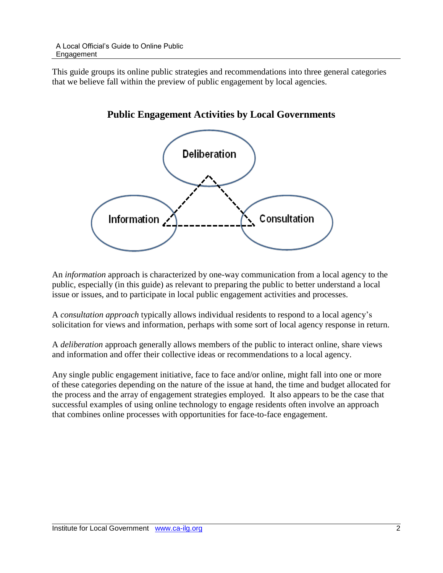This guide groups its online public strategies and recommendations into three general categories that we believe fall within the preview of public engagement by local agencies.



### **Public Engagement Activities by Local Governments**

An *information* approach is characterized by one-way communication from a local agency to the public, especially (in this guide) as relevant to preparing the public to better understand a local issue or issues, and to participate in local public engagement activities and processes.

A *consultation approach* typically allows individual residents to respond to a local agency's solicitation for views and information, perhaps with some sort of local agency response in return.

A *deliberation* approach generally allows members of the public to interact online, share views and information and offer their collective ideas or recommendations to a local agency.

Any single public engagement initiative, face to face and/or online, might fall into one or more of these categories depending on the nature of the issue at hand, the time and budget allocated for the process and the array of engagement strategies employed. It also appears to be the case that successful examples of using online technology to engage residents often involve an approach that combines online processes with opportunities for face-to-face engagement.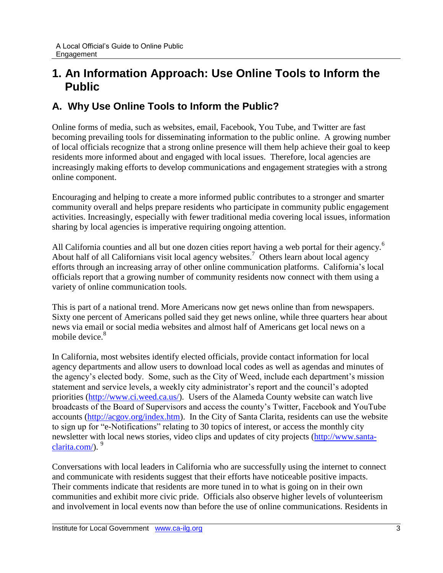# <span id="page-6-0"></span>**1. An Information Approach: Use Online Tools to Inform the Public**

# <span id="page-6-1"></span>**A. Why Use Online Tools to Inform the Public?**

Online forms of media, such as websites, email, Facebook, You Tube, and Twitter are fast becoming prevailing tools for disseminating information to the public online. A growing number of local officials recognize that a strong online presence will them help achieve their goal to keep residents more informed about and engaged with local issues. Therefore, local agencies are increasingly making efforts to develop communications and engagement strategies with a strong online component.

Encouraging and helping to create a more informed public contributes to a stronger and smarter community overall and helps prepare residents who participate in community public engagement activities. Increasingly, especially with fewer traditional media covering local issues, information sharing by local agencies is imperative requiring ongoing attention.

All California counties and all but one dozen cities report having a web portal for their agency.<sup>6</sup> About half of all Californians visit local agency websites.<sup>7</sup> Others learn about local agency efforts through an increasing array of other online communication platforms. California's local officials report that a growing number of community residents now connect with them using a variety of online communication tools.

This is part of a national trend. More Americans now get news online than from newspapers. Sixty one percent of Americans polled said they get news online, while three quarters hear about news via email or social media websites and almost half of Americans get local news on a mobile device.<sup>8</sup>

In California, most websites identify elected officials, provide contact information for local agency departments and allow users to download local codes as well as agendas and minutes of the agency's elected body. Some, such as the City of Weed, include each department's mission statement and service levels, a weekly city administrator's report and the council's adopted priorities [\(http://www.ci.weed.ca.us/\)](http://www.ci.weed.ca.us/). Users of the Alameda County website can watch live broadcasts of the Board of Supervisors and access the county's Twitter, Facebook and YouTube accounts [\(http://acgov.org/index.htm\)](http://acgov.org/index.htm). In the City of Santa Clarita, residents can use the website to sign up for "e-Notifications" relating to 30 topics of interest, or access the monthly city newsletter with local news stories, video clips and updates of city projects [\(http://www.santa](http://www.santa-clarita.com/)[clarita.com/\)](http://www.santa-clarita.com/). <sup>9</sup>

Conversations with local leaders in California who are successfully using the internet to connect and communicate with residents suggest that their efforts have noticeable positive impacts. Their comments indicate that residents are more tuned in to what is going on in their own communities and exhibit more civic pride. Officials also observe higher levels of volunteerism and involvement in local events now than before the use of online communications. Residents in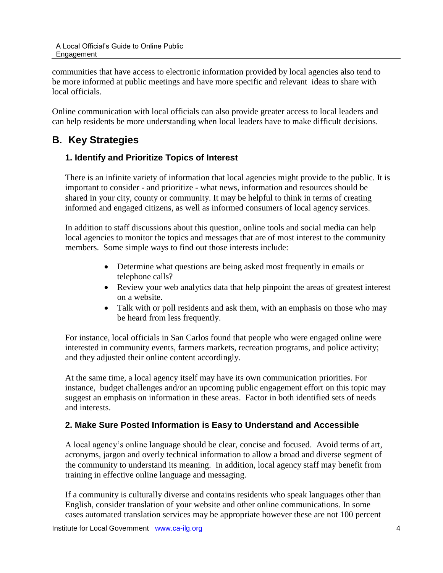communities that have access to electronic information provided by local agencies also tend to be more informed at public meetings and have more specific and relevant ideas to share with local officials.

Online communication with local officials can also provide greater access to local leaders and can help residents be more understanding when local leaders have to make difficult decisions.

# <span id="page-7-1"></span><span id="page-7-0"></span>**B. Key Strategies**

### **1. Identify and Prioritize Topics of Interest**

There is an infinite variety of information that local agencies might provide to the public. It is important to consider - and prioritize - what news, information and resources should be shared in your city, county or community. It may be helpful to think in terms of creating informed and engaged citizens, as well as informed consumers of local agency services.

In addition to staff discussions about this question, online tools and social media can help local agencies to monitor the topics and messages that are of most interest to the community members. Some simple ways to find out those interests include:

- Determine what questions are being asked most frequently in emails or telephone calls?
- Review your web analytics data that help pinpoint the areas of greatest interest on a website.
- Talk with or poll residents and ask them, with an emphasis on those who may be heard from less frequently.

For instance, local officials in San Carlos found that people who were engaged online were interested in community events, farmers markets, recreation programs, and police activity; and they adjusted their online content accordingly.

At the same time, a local agency itself may have its own communication priorities. For instance, budget challenges and/or an upcoming public engagement effort on this topic may suggest an emphasis on information in these areas. Factor in both identified sets of needs and interests.

### <span id="page-7-2"></span>**2. Make Sure Posted Information is Easy to Understand and Accessible**

A local agency's online language should be clear, concise and focused. Avoid terms of art, acronyms, jargon and overly technical information to allow a broad and diverse segment of the community to understand its meaning. In addition, local agency staff may benefit from training in effective online language and messaging.

If a community is culturally diverse and contains residents who speak languages other than English, consider translation of your website and other online communications. In some cases automated translation services may be appropriate however these are not 100 percent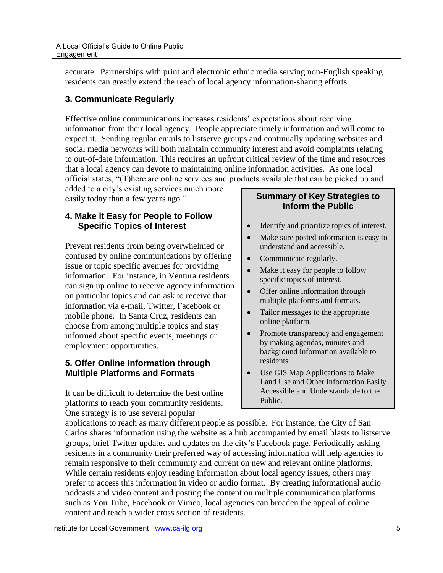accurate. Partnerships with print and electronic ethnic media serving non-English speaking residents can greatly extend the reach of local agency information-sharing efforts.

### <span id="page-8-0"></span>**3. Communicate Regularly**

Effective online communications increases residents' expectations about receiving information from their local agency. People appreciate timely information and will come to expect it. Sending regular emails to listserve groups and continually updating websites and social media networks will both maintain community interest and avoid complaints relating to out-of-date information. This requires an upfront critical review of the time and resources that a local agency can devote to maintaining online information activities. As one local official states, "(T)here are online services and products available that can be picked up and

added to a city's existing services much more easily today than a few years ago."

#### <span id="page-8-1"></span>**4. Make it Easy for People to Follow Specific Topics of Interest**

Prevent residents from being overwhelmed or confused by online communications by offering issue or topic specific avenues for providing information. For instance, in Ventura residents can sign up online to receive agency information on particular topics and can ask to receive that information via e-mail, Twitter, Facebook or mobile phone. In Santa Cruz, residents can choose from among multiple topics and stay informed about specific events, meetings or employment opportunities.

#### <span id="page-8-2"></span>**5. Offer Online Information through Multiple Platforms and Formats**

It can be difficult to determine the best online platforms to reach your community residents. One strategy is to use several popular

#### **Summary of Key Strategies to Inform the Public**

- Identify and prioritize topics of interest.
- Make sure posted information is easy to understand and accessible.
- Communicate regularly.
- Make it easy for people to follow specific topics of interest.
- Offer online information through multiple platforms and formats.
- Tailor messages to the appropriate online platform.
- Promote transparency and engagement by making agendas, minutes and background information available to residents.
- Use GIS Map Applications to Make Land Use and Other Information Easily Accessible and Understandable to the Public.

applications to reach as many different people as possible. For instance, the City of San Carlos shares information using the website as a hub accompanied by email blasts to listserve groups, brief Twitter updates and updates on the city's Facebook page. Periodically asking residents in a community their preferred way of accessing information will help agencies to remain responsive to their community and current on new and relevant online platforms. While certain residents enjoy reading information about local agency issues, others may prefer to access this information in video or audio format. By creating informational audio podcasts and video content and posting the content on multiple communication platforms such as You Tube, Facebook or Vimeo, local agencies can broaden the appeal of online content and reach a wider cross section of residents.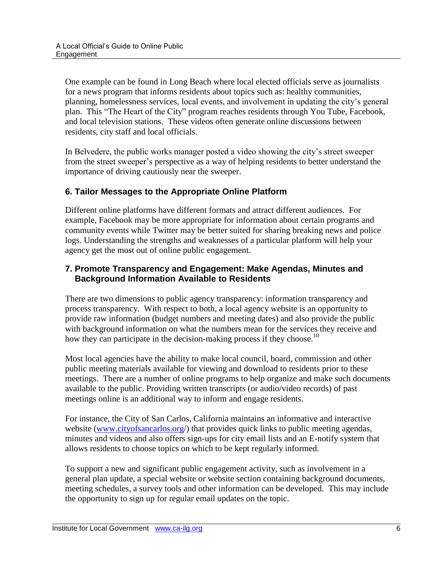One example can be found in Long Beach where local elected officials serve as journalists for a news program that informs residents about topics such as: healthy communities, planning, homelessness services, local events, and involvement in updating the city's general plan. This "The Heart of the City" program reaches residents through You Tube, Facebook, and local television stations. These videos often generate online discussions between residents, city staff and local officials.

In Belvedere, the public works manager posted a video showing the city's street sweeper from the street sweeper's perspective as a way of helping residents to better understand the importance of driving cautiously near the sweeper.

#### <span id="page-9-0"></span>**6. Tailor Messages to the Appropriate Online Platform**

Different online platforms have different formats and attract different audiences. For example, Facebook may be more appropriate for information about certain programs and community events while Twitter may be better suited for sharing breaking news and police logs. Understanding the strengths and weaknesses of a particular platform will help your agency get the most out of online public engagement.

#### <span id="page-9-2"></span><span id="page-9-1"></span>**7. Promote Transparency and Engagement: Make Agendas, Minutes and Background Information Available to Residents**

There are two dimensions to public agency transparency: information transparency and process transparency. With respect to both, a local agency website is an opportunity to provide raw information (budget numbers and meeting dates) and also provide the public with background information on what the numbers mean for the services they receive and how they can participate in the decision-making process if they choose.<sup>10</sup>

Most local agencies have the ability to make local council, board, commission and other public meeting materials available for viewing and download to residents prior to these meetings. There are a number of online programs to help organize and make such documents available to the public. Providing written transcripts (or audio/video records) of past meetings online is an additional way to inform and engage residents.

For instance, the City of San Carlos, California maintains an informative and interactive website [\(www.cityofsancarlos.org/](http://www.cityofsancarlos.org/)) that provides quick links to public meeting agendas, minutes and videos and also offers sign-ups for city email lists and an E-notify system that allows residents to choose topics on which to be kept regularly informed.

To support a new and significant public engagement activity, such as involvement in a general plan update, a special website or website section containing background documents, meeting schedules, a survey tools and other information can be developed. This may include the opportunity to sign up for regular email updates on the topic.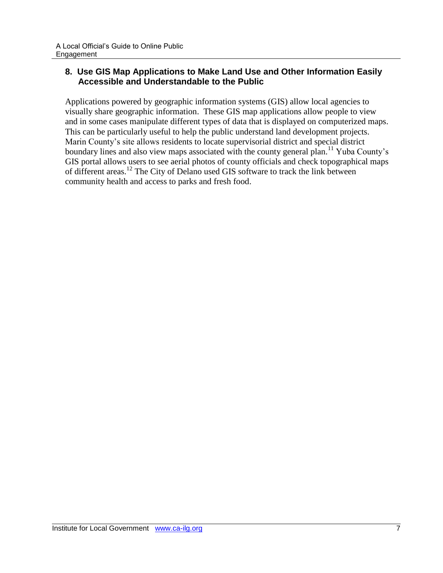#### <span id="page-10-0"></span>**8. Use GIS Map Applications to Make Land Use and Other Information Easily Accessible and Understandable to the Public**

Applications powered by geographic information systems (GIS) allow local agencies to visually share geographic information. These GIS map applications allow people to view and in some cases manipulate different types of data that is displayed on computerized maps. This can be particularly useful to help the public understand land development projects. Marin County's site allows residents to locate supervisorial district and special district boundary lines and also view maps associated with the county general plan.<sup>11</sup> Yuba County's GIS portal allows users to see aerial photos of county officials and check topographical maps of different areas.<sup>12</sup> The City of Delano used GIS software to track the link between community health and access to parks and fresh food.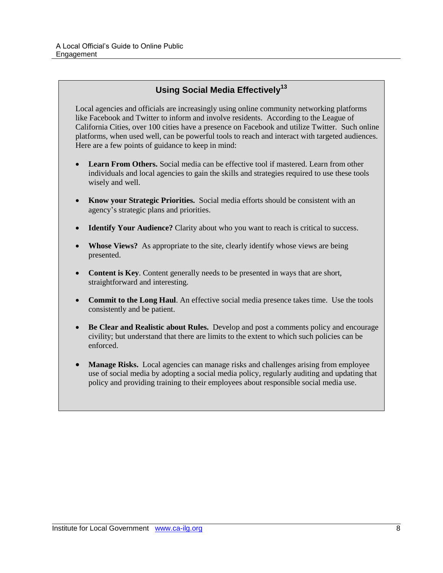#### **Using Social Media Effectively<sup>13</sup>**

Local agencies and officials are increasingly using online community networking platforms like Facebook and Twitter to inform and involve residents. According to the League of California Cities, over 100 cities have a presence on Facebook and utilize Twitter. Such online platforms, when used well, can be powerful tools to reach and interact with targeted audiences. Here are a few points of guidance to keep in mind:

- **Learn From Others.** Social media can be effective tool if mastered. Learn from other individuals and local agencies to gain the skills and strategies required to use these tools wisely and well.
- **Know your Strategic Priorities.** Social media efforts should be consistent with an agency's strategic plans and priorities.
- **Identify Your Audience?** Clarity about who you want to reach is critical to success.
- **Whose Views?** As appropriate to the site, clearly identify whose views are being presented.
- **Content is Key**. Content generally needs to be presented in ways that are short, straightforward and interesting.
- **Commit to the Long Haul.** An effective social media presence takes time. Use the tools consistently and be patient.
- **Be Clear and Realistic about Rules.** Develop and post a comments policy and encourage civility; but understand that there are limits to the extent to which such policies can be enforced.
- **Manage Risks.** Local agencies can manage risks and challenges arising from employee use of social media by adopting a social media policy, regularly auditing and updating that policy and providing training to their employees about responsible social media use.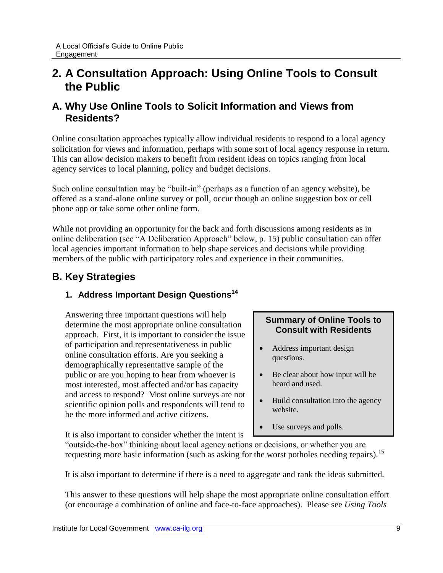# <span id="page-12-0"></span>**2. A Consultation Approach: Using Online Tools to Consult the Public**

### <span id="page-12-1"></span>**A. Why Use Online Tools to Solicit Information and Views from Residents?**

Online consultation approaches typically allow individual residents to respond to a local agency solicitation for views and information, perhaps with some sort of local agency response in return. This can allow decision makers to benefit from resident ideas on topics ranging from local agency services to local planning, policy and budget decisions.

Such online consultation may be "built-in" (perhaps as a function of an agency website), be offered as a stand-alone online survey or poll, occur though an online suggestion box or cell phone app or take some other online form.

While not providing an opportunity for the back and forth discussions among residents as in online deliberation (see "A Deliberation Approach" below, p. 15) public consultation can offer local agencies important information to help shape services and decisions while providing members of the public with participatory roles and experience in their communities.

# <span id="page-12-3"></span><span id="page-12-2"></span>**B. Key Strategies**

### **Address Important Design Questions<sup>14</sup> 1.**

Answering three important questions will help determine the most appropriate online consultation approach. First, it is important to consider the issue of participation and representativeness in public online consultation efforts. Are you seeking a demographically representative sample of the public or are you hoping to hear from whoever is most interested, most affected and/or has capacity and access to respond? Most online surveys are not scientific opinion polls and respondents will tend to be the more informed and active citizens.

#### **Summary of Online Tools to Consult with Residents**

- Address important design questions.
- Be clear about how input will be heard and used.
- Build consultation into the agency website.
- Use surveys and polls.

It is also important to consider whether the intent is

"outside-the-box" thinking about local agency actions or decisions, or whether you are requesting more basic information (such as asking for the worst potholes needing repairs).<sup>15</sup>

It is also important to determine if there is a need to aggregate and rank the ideas submitted.

This answer to these questions will help shape the most appropriate online consultation effort (or encourage a combination of online and face-to-face approaches). Please see *Using Tools*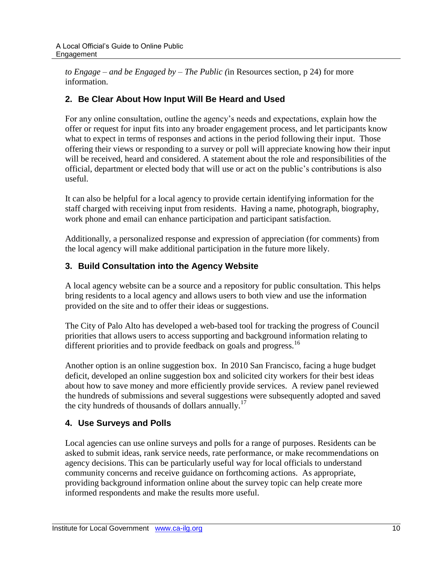*to Engage – and be Engaged by – The Public (*in Resources section, p 24) for more information.

### <span id="page-13-0"></span>**2. Be Clear About How Input Will Be Heard and Used**

For any online consultation, outline the agency's needs and expectations, explain how the offer or request for input fits into any broader engagement process, and let participants know what to expect in terms of responses and actions in the period following their input. Those offering their views or responding to a survey or poll will appreciate knowing how their input will be received, heard and considered. A statement about the role and responsibilities of the official, department or elected body that will use or act on the public's contributions is also useful.

It can also be helpful for a local agency to provide certain identifying information for the staff charged with receiving input from residents. Having a name, photograph, biography, work phone and email can enhance participation and participant satisfaction.

Additionally, a personalized response and expression of appreciation (for comments) from the local agency will make additional participation in the future more likely.

### <span id="page-13-1"></span>**3. Build Consultation into the Agency Website**

A local agency website can be a source and a repository for public consultation. This helps bring residents to a local agency and allows users to both view and use the information provided on the site and to offer their ideas or suggestions.

The City of Palo Alto has developed a web-based tool for tracking the progress of Council priorities that allows users to access supporting and background information relating to different priorities and to provide feedback on goals and progress.<sup>16</sup>

Another option is an online suggestion box. In 2010 San Francisco, facing a huge budget deficit, developed an online suggestion box and solicited city workers for their best ideas about how to save money and more efficiently provide services. A review panel reviewed the hundreds of submissions and several suggestions were subsequently adopted and saved the city hundreds of thousands of dollars annually.<sup>17</sup>

### <span id="page-13-2"></span>**4. Use Surveys and Polls**

Local agencies can use online surveys and polls for a range of purposes. Residents can be asked to submit ideas, rank service needs, rate performance, or make recommendations on agency decisions. This can be particularly useful way for local officials to understand community concerns and receive guidance on forthcoming actions. As appropriate, providing background information online about the survey topic can help create more informed respondents and make the results more useful.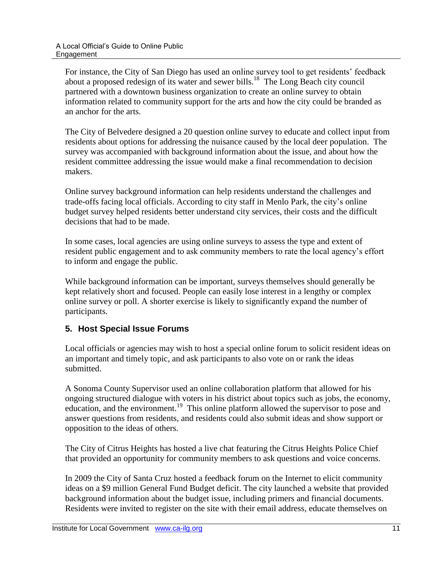For instance, the City of San Diego has used an online survey tool to get residents' feedback about a proposed redesign of its water and sewer bills.<sup>18</sup> The Long Beach city council partnered with a downtown business organization to create an online survey to obtain information related to community support for the arts and how the city could be branded as an anchor for the arts.

The City of Belvedere designed a 20 question online survey to educate and collect input from residents about options for addressing the nuisance caused by the local deer population. The survey was accompanied with background information about the issue, and about how the resident committee addressing the issue would make a final recommendation to decision makers.

Online survey background information can help residents understand the challenges and trade-offs facing local officials. According to city staff in Menlo Park, the city's online budget survey helped residents better understand city services, their costs and the difficult decisions that had to be made.

In some cases, local agencies are using online surveys to assess the type and extent of resident public engagement and to ask community members to rate the local agency's effort to inform and engage the public.

While background information can be important, surveys themselves should generally be kept relatively short and focused. People can easily lose interest in a lengthy or complex online survey or poll. A shorter exercise is likely to significantly expand the number of participants.

### <span id="page-14-0"></span>**5. Host Special Issue Forums**

Local officials or agencies may wish to host a special online forum to solicit resident ideas on an important and timely topic, and ask participants to also vote on or rank the ideas submitted.

A Sonoma County Supervisor used an online collaboration platform that allowed for his ongoing structured dialogue with voters in his district about topics such as jobs, the economy, education, and the environment.<sup>19</sup> This online platform allowed the supervisor to pose and answer questions from residents, and residents could also submit ideas and show support or opposition to the ideas of others.

The City of Citrus Heights has hosted a live chat featuring the Citrus Heights Police Chief that provided an opportunity for community members to ask questions and voice concerns.

In 2009 the City of Santa Cruz hosted a feedback forum on the Internet to elicit community ideas on a \$9 million General Fund Budget deficit. The city launched a website that provided background information about the budget issue, including primers and financial documents. Residents were invited to register on the site with their email address, educate themselves on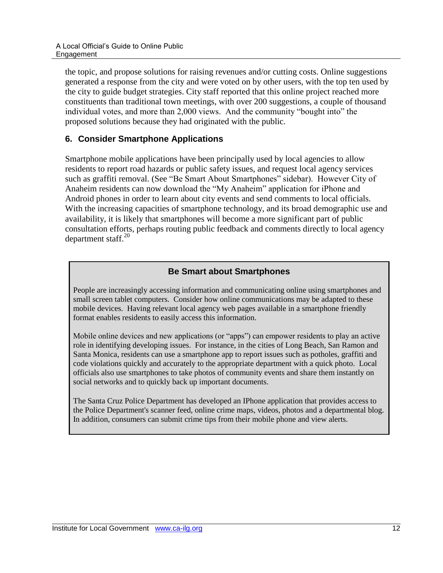the topic, and propose solutions for raising revenues and/or cutting costs. Online suggestions generated a response from the city and were voted on by other users, with the top ten used by the city to guide budget strategies. City staff reported that this online project reached more constituents than traditional town meetings, with over 200 suggestions, a couple of thousand individual votes, and more than 2,000 views. And the community "bought into" the proposed solutions because they had originated with the public.

#### <span id="page-15-0"></span>**6. Consider Smartphone Applications**

Smartphone mobile applications have been principally used by local agencies to allow residents to report road hazards or public safety issues, and request local agency services such as graffiti removal. (See "Be Smart About Smartphones" sidebar). However City of Anaheim residents can now download the "My Anaheim" application for iPhone and Android phones in order to learn about city events and send comments to local officials. With the increasing capacities of smartphone technology, and its broad demographic use and availability, it is likely that smartphones will become a more significant part of public consultation efforts, perhaps routing public feedback and comments directly to local agency department staff. $20$ 

### **Be Smart about Smartphones**

People are increasingly accessing information and communicating online using smartphones and small screen tablet computers. Consider how online communications may be adapted to these mobile devices. Having relevant local agency web pages available in a smartphone friendly format enables residents to easily access this information.

Mobile online devices and new applications (or "apps") can empower residents to play an active role in identifying developing issues. For instance, in the cities of Long Beach, San Ramon and Santa Monica, residents can use a smartphone app to report issues such as potholes, graffiti and code violations quickly and accurately to the appropriate department with a quick photo. Local officials also use smartphones to take photos of community events and share them instantly on social networks and to quickly back up important documents.

The Santa Cruz Police Department has developed an IPhone application that provides access to the Police Department's scanner feed, online crime maps, videos, photos and a departmental blog. In addition, consumers can submit crime tips from their mobile phone and view alerts.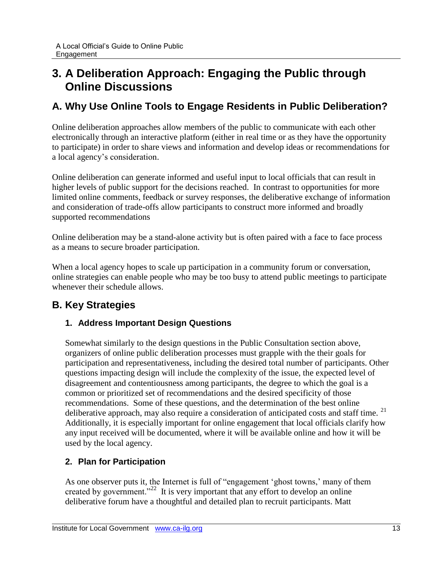# <span id="page-16-0"></span>**3. A Deliberation Approach: Engaging the Public through Online Discussions**

### <span id="page-16-1"></span>**A. Why Use Online Tools to Engage Residents in Public Deliberation?**

Online deliberation approaches allow members of the public to communicate with each other electronically through an interactive platform (either in real time or as they have the opportunity to participate) in order to share views and information and develop ideas or recommendations for a local agency's consideration.

Online deliberation can generate informed and useful input to local officials that can result in higher levels of public support for the decisions reached. In contrast to opportunities for more limited online comments, feedback or survey responses, the deliberative exchange of information and consideration of trade-offs allow participants to construct more informed and broadly supported recommendations

Online deliberation may be a stand-alone activity but is often paired with a face to face process as a means to secure broader participation.

When a local agency hopes to scale up participation in a community forum or conversation, online strategies can enable people who may be too busy to attend public meetings to participate whenever their schedule allows.

# <span id="page-16-3"></span><span id="page-16-2"></span>**B. Key Strategies**

### **1. Address Important Design Questions**

Somewhat similarly to the design questions in the Public Consultation section above, organizers of online public deliberation processes must grapple with the their goals for participation and representativeness, including the desired total number of participants. Other questions impacting design will include the complexity of the issue, the expected level of disagreement and contentiousness among participants, the degree to which the goal is a common or prioritized set of recommendations and the desired specificity of those recommendations. Some of these questions, and the determination of the best online deliberative approach, may also require a consideration of anticipated costs and staff time.<sup>21</sup> Additionally, it is especially important for online engagement that local officials clarify how any input received will be documented, where it will be available online and how it will be used by the local agency.

### <span id="page-16-4"></span>**2. Plan for Participation**

As one observer puts it, the Internet is full of "engagement 'ghost towns,' many of them created by government."<sup>22</sup> It is very important that any effort to develop an online deliberative forum have a thoughtful and detailed plan to recruit participants. Matt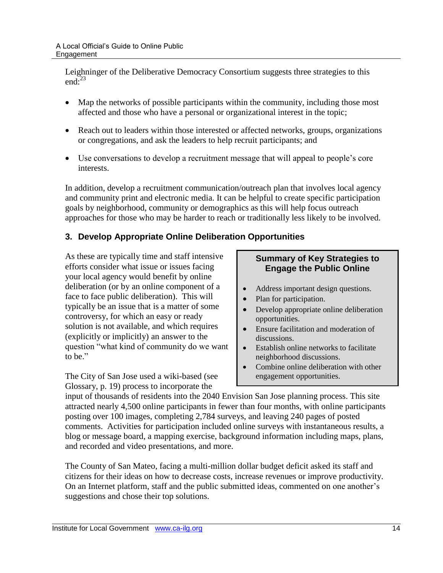Leighninger of the Deliberative Democracy Consortium suggests three strategies to this end: $^{23}$ 

- Map the networks of possible participants within the community, including those most affected and those who have a personal or organizational interest in the topic;
- Reach out to leaders within those interested or affected networks, groups, organizations or congregations, and ask the leaders to help recruit participants; and
- Use conversations to develop a recruitment message that will appeal to people's core interests.

In addition, develop a recruitment communication/outreach plan that involves local agency and community print and electronic media. It can be helpful to create specific participation goals by neighborhood, community or demographics as this will help focus outreach approaches for those who may be harder to reach or traditionally less likely to be involved.

### <span id="page-17-0"></span>**3. Develop Appropriate Online Deliberation Opportunities**

As these are typically time and staff intensive efforts consider what issue or issues facing your local agency would benefit by online deliberation (or by an online component of a face to face public deliberation). This will typically be an issue that is a matter of some controversy, for which an easy or ready solution is not available, and which requires (explicitly or implicitly) an answer to the question "what kind of community do we want to be."

The City of San Jose used a wiki-based (see Glossary, p. 19) process to incorporate the

#### **Summary of Key Strategies to Engage the Public Online**

- Address important design questions.
- Plan for participation.
- Develop appropriate online deliberation opportunities.
- Ensure facilitation and moderation of discussions.
- Establish online networks to facilitate neighborhood discussions.
- Combine online deliberation with other engagement opportunities.

input of thousands of residents into the 2040 Envision San Jose planning process. This site attracted nearly 4,500 online participants in fewer than four months, with online participants posting over 100 images, completing 2,784 surveys, and leaving 240 pages of posted comments. Activities for participation included online surveys with instantaneous results, a blog or message board, a mapping exercise, background information including maps, plans, and recorded and video presentations, and more.

The County of San Mateo, facing a multi-million dollar budget deficit asked its staff and citizens for their ideas on how to decrease costs, increase revenues or improve productivity. On an Internet platform, staff and the public submitted ideas, commented on one another's suggestions and chose their top solutions.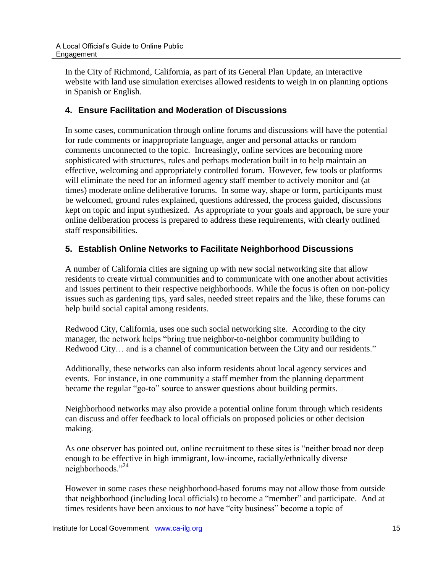In the City of Richmond, California, as part of its General Plan Update, an interactive website with land use simulation exercises allowed residents to weigh in on planning options in Spanish or English.

### <span id="page-18-0"></span>**4. Ensure Facilitation and Moderation of Discussions**

In some cases, communication through online forums and discussions will have the potential for rude comments or inappropriate language, anger and personal attacks or random comments unconnected to the topic. Increasingly, online services are becoming more sophisticated with structures, rules and perhaps moderation built in to help maintain an effective, welcoming and appropriately controlled forum. However, few tools or platforms will eliminate the need for an informed agency staff member to actively monitor and (at times) moderate online deliberative forums. In some way, shape or form, participants must be welcomed, ground rules explained, questions addressed, the process guided, discussions kept on topic and input synthesized. As appropriate to your goals and approach, be sure your online deliberation process is prepared to address these requirements, with clearly outlined staff responsibilities.

#### <span id="page-18-1"></span>**5. Establish Online Networks to Facilitate Neighborhood Discussions**

A number of California cities are signing up with new social networking site that allow residents to create virtual communities and to communicate with one another about activities and issues pertinent to their respective neighborhoods. While the focus is often on non-policy issues such as gardening tips, yard sales, needed street repairs and the like, these forums can help build social capital among residents.

Redwood City, California, uses one such social networking site. According to the city manager, the network helps "bring true neighbor-to-neighbor community building to Redwood City… and is a channel of communication between the City and our residents."

Additionally, these networks can also inform residents about local agency services and events. For instance, in one community a staff member from the planning department became the regular "go-to" source to answer questions about building permits.

Neighborhood networks may also provide a potential online forum through which residents can discuss and offer feedback to local officials on proposed policies or other decision making.

As one observer has pointed out, online recruitment to these sites is "neither broad nor deep enough to be effective in high immigrant, low-income, racially/ethnically diverse neighborhoods."<sup>24</sup>

However in some cases these neighborhood-based forums may not allow those from outside that neighborhood (including local officials) to become a "member" and participate. And at times residents have been anxious to *not* have "city business" become a topic of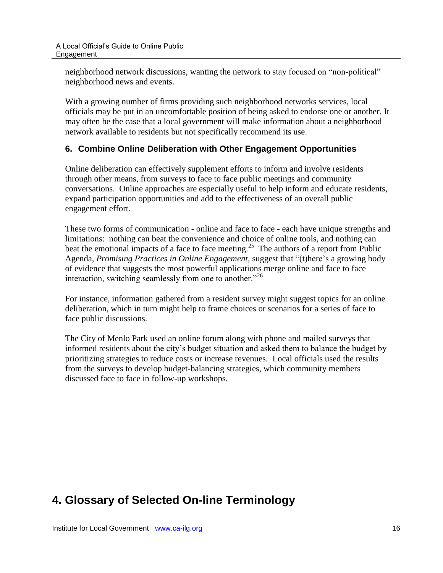neighborhood network discussions, wanting the network to stay focused on "non-political" neighborhood news and events.

With a growing number of firms providing such neighborhood networks services, local officials may be put in an uncomfortable position of being asked to endorse one or another. It may often be the case that a local government will make information about a neighborhood network available to residents but not specifically recommend its use.

#### <span id="page-19-0"></span>**6. Combine Online Deliberation with Other Engagement Opportunities**

Online deliberation can effectively supplement efforts to inform and involve residents through other means, from surveys to face to face public meetings and community conversations. Online approaches are especially useful to help inform and educate residents, expand participation opportunities and add to the effectiveness of an overall public engagement effort.

These two forms of communication - online and face to face - each have unique strengths and limitations: nothing can beat the convenience and choice of online tools, and nothing can beat the emotional impacts of a face to face meeting.<sup>25</sup> The authors of a report from Public Agenda, *Promising Practices in Online Engagement,* suggest that "(t)here's a growing body of evidence that suggests the most powerful applications merge online and face to face interaction, switching seamlessly from one to another."<sup>26</sup>

For instance, information gathered from a resident survey might suggest topics for an online deliberation, which in turn might help to frame choices or scenarios for a series of face to face public discussions.

The City of Menlo Park used an online forum along with phone and mailed surveys that informed residents about the city's budget situation and asked them to balance the budget by prioritizing strategies to reduce costs or increase revenues. Local officials used the results from the surveys to develop budget-balancing strategies, which community members discussed face to face in follow-up workshops.

# <span id="page-19-1"></span>**4. Glossary of Selected On-line Terminology**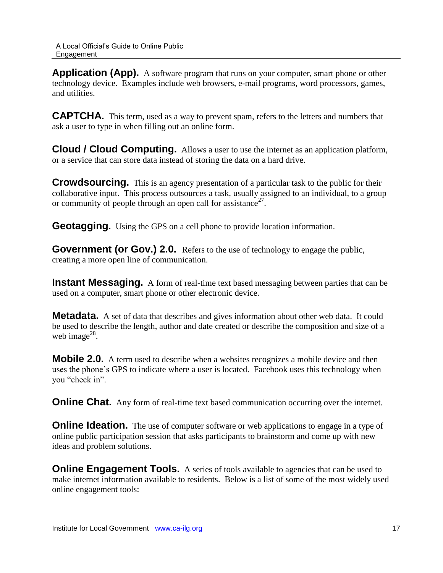**Application (App).** A software program that runs on your computer, smart phone or other technology device. Examples include web browsers, e-mail programs, word processors, games, and utilities.

**CAPTCHA.** This term, used as a way to prevent spam, refers to the letters and numbers that ask a user to type in when filling out an online form.

**Cloud / Cloud Computing.** Allows a user to use the internet as an application platform, or a service that can store data instead of storing the data on a hard drive.

**Crowdsourcing.** This is an agency presentation of a particular task to the public for their collaborative input. This process outsources a task, usually assigned to an individual, to a group or community of people through an open call for assistance<sup>27</sup>.

**Geotagging.** Using the GPS on a cell phone to provide location information.

**Government (or Gov.) 2.0.** Refers to the use of technology to engage the public, creating a more open line of communication.

**Instant Messaging.** A form of real-time text based messaging between parties that can be used on a computer, smart phone or other electronic device.

**Metadata.** A set of data that describes and gives information about other web data. It could be used to describe the length, author and date created or describe the composition and size of a web image $^{28}$ .

**Mobile 2.0.** A term used to describe when a websites recognizes a mobile device and then uses the phone's GPS to indicate where a user is located. Facebook uses this technology when you "check in".

**Online Chat.** Any form of real-time text based communication occurring over the internet.

**Online Ideation.** The use of computer software or web applications to engage in a type of online public participation session that asks participants to brainstorm and come up with new ideas and problem solutions.

**Online Engagement Tools.** A series of tools available to agencies that can be used to make internet information available to residents. Below is a list of some of the most widely used online engagement tools: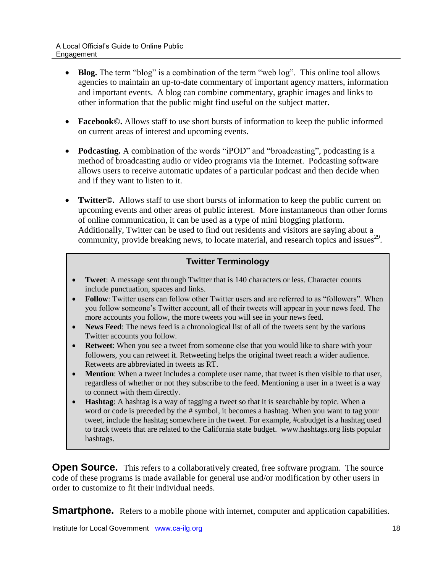- Blog. The term "blog" is a combination of the term "web log". This online tool allows agencies to maintain an up-to-date commentary of important agency matters, information and important events. A blog can combine commentary, graphic images and links to other information that the public might find useful on the subject matter.
- **Facebook©.** Allows staff to use short bursts of information to keep the public informed on current areas of interest and upcoming events.
- **Podcasting.** A combination of the words "iPOD" and "broadcasting", podcasting is a method of broadcasting audio or video programs via the Internet. Podcasting software allows users to receive automatic updates of a particular podcast and then decide when and if they want to listen to it.
- **Twitter©.** Allows staff to use short bursts of information to keep the public current on upcoming events and other areas of public interest. More instantaneous than other forms of online communication, it can be used as a type of mini blogging platform. Additionally, Twitter can be used to find out residents and visitors are saying about a community, provide breaking news, to locate material, and research topics and issues $^{29}$ .

#### **Twitter Terminology**

- **Tweet**: A message sent through Twitter that is 140 characters or less. Character counts include punctuation, spaces and links.
- **Follow**: Twitter users can follow other Twitter users and are referred to as "followers". When you follow someone's Twitter account, all of their tweets will appear in your news feed. The more accounts you follow, the more tweets you will see in your news feed.
- **News Feed**: The news feed is a chronological list of all of the tweets sent by the various Twitter accounts you follow.
- **Retweet**: When you see a tweet from someone else that you would like to share with your followers, you can retweet it. Retweeting helps the original tweet reach a wider audience. Retweets are abbreviated in tweets as RT.
- **Mention**: When a tweet includes a complete user name, that tweet is then visible to that user, regardless of whether or not they subscribe to the feed. Mentioning a user in a tweet is a way to connect with them directly.
- **Hashtag**: A hashtag is a way of tagging a tweet so that it is searchable by topic. When a word or code is preceded by the # symbol, it becomes a hashtag. When you want to tag your tweet, include the hashtag somewhere in the tweet. For example, #cabudget is a hashtag used to track tweets that are related to the California state budget. www.hashtags.org lists popular hashtags.

**Open Source.** This refers to a collaboratively created, free software program. The source code of these programs is made available for general use and/or modification by other users in order to customize to fit their individual needs.

**Smartphone.** Refers to a mobile phone with internet, computer and application capabilities.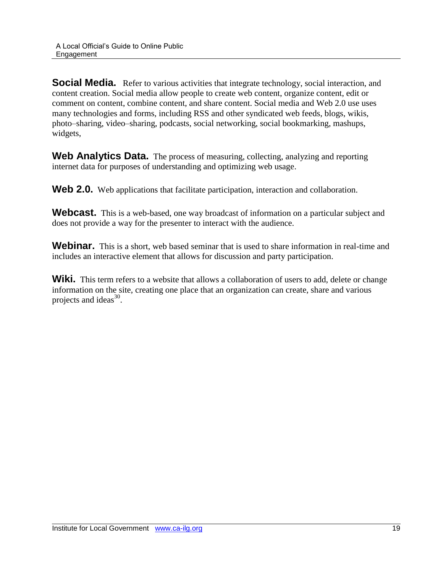**Social Media.** Refer to various activities that integrate technology, social interaction, and content creation. Social media allow people to create web content, organize content, edit or comment on content, combine content, and share content. Social media and Web 2.0 use uses many technologies and forms, including RSS and other syndicated web feeds, blogs, wikis, photo–sharing, video–sharing, podcasts, social networking, social bookmarking, mashups, widgets,

**Web Analytics Data.** The process of measuring, collecting, analyzing and reporting internet data for purposes of understanding and optimizing web usage.

Web 2.0. Web applications that facilitate participation, interaction and collaboration.

Webcast. This is a web-based, one way broadcast of information on a particular subject and does not provide a way for the presenter to interact with the audience.

**Webinar.** This is a short, web based seminar that is used to share information in real-time and includes an interactive element that allows for discussion and party participation.

Wiki. This term refers to a website that allows a collaboration of users to add, delete or change information on the site, creating one place that an organization can create, share and various projects and ideas $^{30}$ .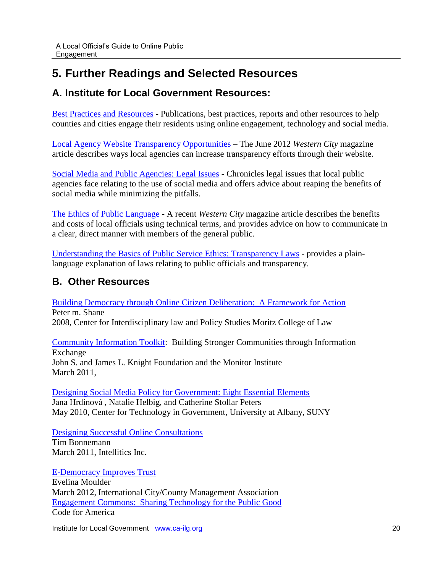# <span id="page-23-0"></span>**5. Further Readings and Selected Resources**

### <span id="page-23-1"></span>**A. Institute for Local Government Resources:**

[Best Practices and Resources](http://www.ca-ilg.org/post/online-engagement-best-practices-and-resources) - Publications, best practices, reports and other resources to help counties and cities engage their residents using online engagement, technology and social media.

[Local Agency Website Transparency Opportunities](http://www.ca-ilg.org/post/local-agency-website-transparency-opportunities) – The June 2012 *Western City* magazine article describes ways local agencies can increase transparency efforts through their website.

[Social Media and Public Agencies: Legal Issues](http://www.ca-ilg.org/document/legal-issues-associated-social-media) - Chronicles legal issues that local public agencies face relating to the use of social media and offers advice about reaping the benefits of social media while minimizing the pitfalls.

[The Ethics of Public Language](http://www.ca-ilg.org/post/ethics-public-language) - A recent *Western City* magazine article describes the benefits and costs of local officials using technical terms, and provides advice on how to communicate in a clear, direct manner with members of the general public.

[Understanding the Basics of Public Service Ethics: Transparency](http://www.ca-ilg.org/transparency) Laws - provides a plainlanguage explanation of laws relating to public officials and transparency.

### <span id="page-23-2"></span>**B. Other Resources**

Building Democracy through [Online Citizen Deliberation: A Framework for Action](http://files.uniteddiversity.com/Decision_Making_and_Democracy/building_democracy.pdf) Peter m. Shane 2008, Center for Interdisciplinary law and Policy Studies Moritz College of Law

[Community Information Toolkit:](http://www.knightfoundation.org/media/uploads/publication_pdfs/2011_KF_Community_Information_Toolkit.pdf) Building Stronger Communities through Information Exchange John S. and James L. Knight Foundation and the Monitor Institute March 2011,

[Designing Social Media Policy for Government: Eight Essential Elements](http://www.ctg.albany.edu/publications/guides/social_media_policy/social_media_policy.pdf) Jana Hrdinová , Natalie Helbig, and Catherine Stollar Peters May 2010, Center for Technology in Government, University at Albany, SUNY

[Designing Successful Online Consultations](http://www.intellitics.com/blog/2011/03/12/sxsw-future-15-designing-successful-online-consultations/) Tim Bonnemann

March 2011, Intellitics Inc.

[E-Democracy Improves Trust](http://icma.org/en/Article/101874/EDemocracy_Improves_Trust?pub=104&issue=&utm_source=Local+Government+Matters&utm_medium=email&utm_campaign=) Evelina Moulder March 2012, International City/County Management Association [Engagement Commons: Sharing Technology for the Public Good](http://civiccommons.org/engagement-commons) Code for America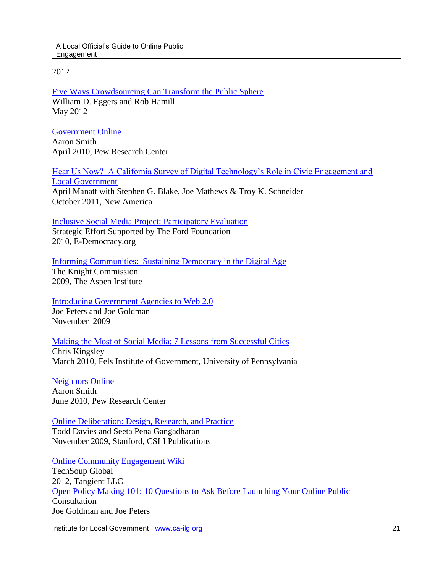A Local Official's Guide to Online Public Engagement

2012

[Five Ways Crowdsourcing Can Transform the Public Sphere](http://www.governing.com/columns/mgmt-insights/col-government-crowdsourcing-five-models.html) William D. Eggers and Rob Hamill May 2012

[Government Online](http://pewinternet.org/Reports/2010/Government-Online.aspx) Aaron Smith April 2010, Pew Research Center

[Hear Us Now? A California Survey of Digital Technology's Role in Civic Engagement and](http://newamerica.net/sites/newamerica.net/files/policydocs/100511CA_hear_us_now.pdf)  [Local Government](http://newamerica.net/sites/newamerica.net/files/policydocs/100511CA_hear_us_now.pdf)

April Manatt with Stephen G. Blake, Joe Mathews & Troy K. Schneider October 2011, New America

[Inclusive Social Media Project: Participatory Evaluation](http://e-democracy.org/if/edeminclusivefordeval.pdf)

Strategic Effort Supported by The Ford Foundation 2010, E-Democracy.org

[Informing Communities: Sustaining Democracy in the Digital Age](http://www.knightcomm.org/read-the-report-and-comment/)

The Knight Commission 2009, The Aspen Institute

[Introducing Government Agencies to Web 2.0](http://ascentum.com/wp-content/uploads/2009/11/Introducing-Government-Agencies-to-Web-2.0-When-A-Visitor-Becomes-A-Community-by-Joe-Goldman-and-Joseph-Peters.pdf)

Joe Peters and Joe Goldman November 2009

#### [Making the Most of Social Media: 7 Lessons from Successful Cities](https://www.fels.upenn.edu/sites/www.fels.upenn.edu/files/PP3_SocialMedia.pdf)

Chris Kingsley March 2010, Fels Institute of Government, University of Pennsylvania

[Neighbors Online](http://pewinternet.org/Reports/2010/Neighbors-Online.aspx) Aaron Smith June 2010, Pew Research Center

#### [Online Deliberation: Design, Research, and Practice](http://odbook.stanford.edu/)

Todd Davies and Seeta Pena Gangadharan November 2009, Stanford, CSLI Publications

[Online Community Engagement Wiki](http://knowledgenetworks.wikispaces.com/)

TechSoup Global 2012, Tangient LLC [Open Policy Making 101: 10 Questions to Ask Before Launching Your Online Public](http://ascentum.com/wp-content/uploads/2009/11/Policy-101-10-Questions-To-Ask-Before-Launching-Your-Online-Public-Consultation-by-Joe-Goldman-and-Joseph-Peters.pdf) Consultation Joe Goldman and Joe Peters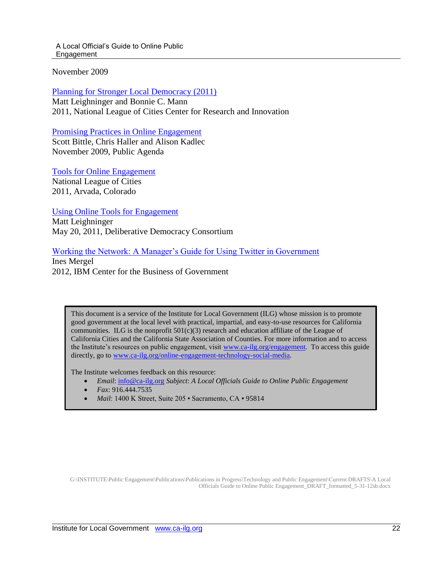A Local Official's Guide to Online Public Engagement

November 2009

[Planning for Stronger Local Democracy \(2011\)](http://www.nlc.org/File%20Library/Find%20City%20Solutions/Research%20Innovation/Governance-Civic/planning-for-stronger-local-democracy-gid-nov11.pdf) Matt Leighninger and Bonnie C. Mann 2011, National League of Cities Center for Research and Innovation

[Promising Practices in Online Engagement](http://www.publicagenda.org/pages/promising-practices-in-online-engagement) Scott Bittle, Chris Haller and Alison Kadlec November 2009, Public Agenda

[Tools for Online Engagement](http://www.nlc.org/find-city-solutions/research-innovation/governance-civic-engagement/tools-for-online-engagement) National League of Cities 2011, Arvada, Colorado

[Using Online Tools for Engagement](http://www.deliberative-democracy.net/index.php?option=com_content&view=category&layout=blog&id=57&Itemid=138) Matt Leighninger May 20, 2011, Deliberative Democracy Consortium

#### [Working the Network: A Manager's Guide for Using Twitter in Government](http://www.businessofgovernment.org/report/working-network-manager%E2%80%99s-guide-using-twitter-government) Ines Mergel

2012, IBM Center for the Business of Government

This document is a service of the Institute for Local Government (ILG) whose mission is to promote good government at the local level with practical, impartial, and easy-to-use resources for California communities. ILG is the nonprofit  $501(c)(3)$  research and education affiliate of the League of California Cities and the California State Association of Counties. For more information and to access the Institute's resources on public engagement, visit [www.ca-ilg.org/engagement.](http://www.ca-ilg.org/engagement) To access this guide directly, go to [www.ca-ilg.org/online-engagement-technology-social-media.](http://www.ca-ilg.org/online-engagement-technology-social-media)

The Institute welcomes feedback on this resource:

- *Email*: [info@ca-ilg.org](mailto:info@ca-ilg.org?subject=A%20Local%20Official) *Subject*: *A Local Officials Guide to Online Public Engagement*
- *Fax*: 916.444.7535
- *Mail*: 1400 K Street, Suite 205 · Sacramento, CA · 95814

G:\INSTITUTE\Public Engagement\Publications\Publications in Progress\Technology and Public Engagement\Current DRAFTS\A Local Officials Guide to Online Public Engagement\_DRAFT\_formatted\_5-31-12sb.docx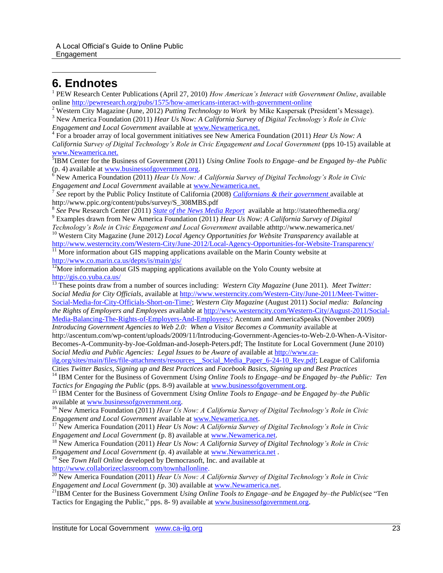# **6. Endnotes**

 $\overline{a}$ 

<sup>1</sup> PEW Research Center Publications (April 27, 2010) *How American's Interact with Government Online*, available online<http://pewresearch.org/pubs/1575/how-americans-interact-with-government-online>

<sup>2</sup> Western City Magazine (June, 2012) *Putting Technology to Work* by Mike Kaspersak (President's Message). <sup>3</sup> New America Foundation (2011) *Hear Us Now: A California Survey of Digital Technology's Role in Civic Engagement and Local Government* available at [www.Newamerica.net.](http://www.newamerica.net/)

4 For a broader array of local government initiatives see New America Foundation (2011) *Hear Us Now: A California Survey of Digital Technology's Role in Civic Engagement and Local Government* (pps 10-15) available at [www.Newamerica.net.](http://www.newamerica.net/)

5 IBM Center for the Business of Government (2011) *Using Online Tools to Engage–and be Engaged by–the Public* (p. 4) available at [www.businessofgovernment.org.](http://www.businessofgovernment.org/)

<sup>6</sup> New America Foundation (2011) *Hear Us Now: A California Survey of Digital Technology's Role in Civic Engagement and Local Government* available at [www.Newamerica.net.](http://www.newamerica.net/)

7 *See* report by the Public Policy Institute of California (2008) *[Californians & their government](http://www.ppic.org/content/pubs/survey/S_308MBS.pdf)* available at http://www.ppic.org/content/pubs/survey/S\_308MBS.pdf

8 *See* Pew Research Center (2011) *[State of the News Media Report](http://stateofthemedia.org/)* available at http://stateofthemedia.org/ <sup>9</sup> Examples drawn from New America Foundation (2011) *Hear Us Now: A California Survey of Digital* 

*Technology's Role in Civic Engagement and Local Government* available athttp://www.newamerica.net/ <sup>10</sup> Western City Magazine (June 2012) *Local Agency Opportunities for Website Transparency* available at

<http://www.westerncity.com/Western-City/June-2012/Local-Agency-Opportunities-for-Website-Transparency/>  $\frac{11}{11}$  More information about GIS mapping applications available on the Marin County website at

<http://www.co.marin.ca.us/depts/is/main/gis/>

 $12$ More information about GIS mapping applications available on the Yolo County website at <http://gis.co.yuba.ca.us/>

<sup>13</sup> These points draw from a number of sources including: *Western City Magazine* (June 2011). *Meet Twitter: Social Media for City Officials*, available a[t http://www.westerncity.com/Western-City/June-2011/Meet-Twitter-](http://www.westerncity.com/Western-City/June-2011/Meet-Twitter-Social-Media-for-City-Officials-Short-on-Time/)[Social-Media-for-City-Officials-Short-on-Time/;](http://www.westerncity.com/Western-City/June-2011/Meet-Twitter-Social-Media-for-City-Officials-Short-on-Time/) *Western City Magazine* (August 2011) *Social media: Balancing the Rights of Employers and Employees* available at [http://www.westerncity.com/Western-City/August-2011/Social-](http://www.westerncity.com/Western-City/August-2011/Social-Media-Balancing-The-Rights-of-Employers-And-Employees/)[Media-Balancing-The-Rights-of-Employers-And-Employees/;](http://www.westerncity.com/Western-City/August-2011/Social-Media-Balancing-The-Rights-of-Employers-And-Employees/) Acentum and AmericaSpeaks (November 2009) *Introducing Government Agencies to Web 2.0: When a Visitor Becomes a Community* available at

http://ascentum.com/wp-content/uploads/2009/11/Introducing-Government-Agencies-to-Web-2.0-When-A-Visitor-Becomes-A-Community-by-Joe-Goldman-and-Joseph-Peters.pdf; The Institute for Local Government (June 2010) *Social Media and Public Agencies: Legal Issues to be Aware of* available a[t http://www.ca-](http://www.ca-ilg.org/sites/main/files/file-attachments/resources__Social_Media_Paper_6-24-10_Rev.pdf)

[ilg.org/sites/main/files/file-attachments/resources\\_\\_Social\\_Media\\_Paper\\_6-24-10\\_Rev.pdf;](http://www.ca-ilg.org/sites/main/files/file-attachments/resources__Social_Media_Paper_6-24-10_Rev.pdf) League of California Cities *Twitter Basics, Signing up and Best Practices* and *Facebook Basics, Signing up and Best Practices*

<sup>14</sup> IBM Center for the Business of Government *Using Online Tools to Engage–and be Engaged by–the Public: Ten Tactics for Engaging the Public* (pps. 8-9) available at [www.businessofgovernment.org.](http://www.businessofgovernment.org/)

<sup>15</sup> IBM Center for the Business of Government *Using Online Tools to Engage–and be Engaged by–the Public* available at [www.businessofgovernment.org.](http://www.businessofgovernment.org/)

<sup>16</sup> New America Foundation (2011) *Hear Us Now: A California Survey of Digital Technology's Role in Civic Engagement and Local Government* available at [www.Newamerica.net.](http://www.newamerica.net/)

<sup>17</sup> New America Foundation (2011) *Hear Us Now: A California Survey of Digital Technology's Role in Civic Engagement and Local Government* (p. 8) available a[t www.Newamerica.net.](http://www.newamerica.net/)

<sup>18</sup> New America Foundation (2011) *Hear Us Now: A California Survey of Digital Technology's Role in Civic Engagement and Local Government* (p. 4) available a[t www.Newamerica.net](http://www.newamerica.net/) .

<sup>19</sup> See *Town Hall Online* developed by Democrasoft, Inc. and available at [http://www.collaborizeclassroom.com/townhallonline.](http://www.collaborizeclassroom.com/townhallonline)

<sup>20</sup> New America Foundation (2011) *Hear Us Now: A California Survey of Digital Technology's Role in Civic Engagement and Local Government* (p. 30) available a[t www.Newamerica.net.](http://www.newamerica.net/)

<sup>21</sup>IBM Center for the Business Government *Using Online Tools to Engage–and be Engaged by–the Public*(see "Ten Tactics for Engaging the Public," pps. 8- 9) available at [www.businessofgovernment.org.](http://www.businessofgovernment.org/)